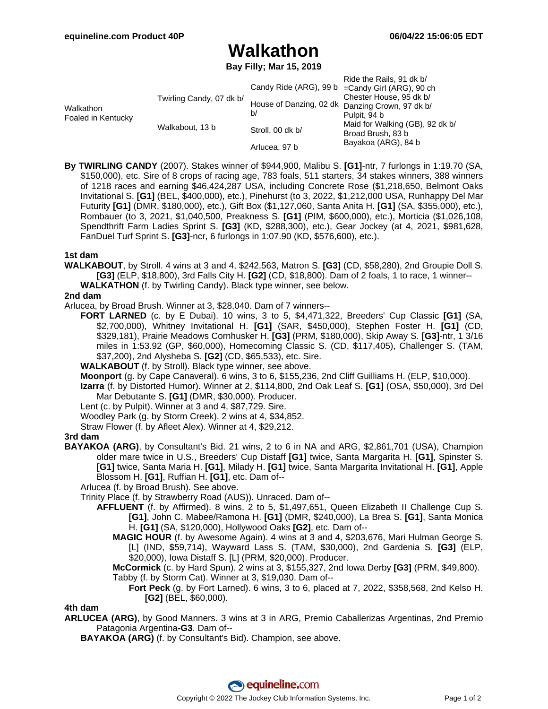## **Walkathon**

**Bay Filly; Mar 15, 2019**

|                                 |                          |                  | Ride the Rails, 91 dk b/                             |
|---------------------------------|--------------------------|------------------|------------------------------------------------------|
| Walkathon<br>Foaled in Kentucky | Twirling Candy, 07 dk b/ |                  | Candy Ride (ARG), 99 b = Candy Girl (ARG), 90 ch     |
|                                 |                          |                  | Chester House, 95 dk b/                              |
|                                 |                          |                  | House of Danzing, 02 dk Danzing Crown, 97 dk b/      |
|                                 |                          | b/               | Pulpit, 94 b                                         |
|                                 | Walkabout, 13 b          | Stroll, 00 dk b/ | Maid for Walking (GB), 92 dk b/<br>Broad Brush, 83 b |
|                                 |                          | Arlucea, 97 b    | Bayakoa (ARG), 84 b                                  |

**By TWIRLING CANDY** (2007). Stakes winner of \$944,900, Malibu S. **[G1]**-ntr, 7 furlongs in 1:19.70 (SA, \$150,000), etc. Sire of 8 crops of racing age, 783 foals, 511 starters, 34 stakes winners, 388 winners of 1218 races and earning \$46,424,287 USA, including Concrete Rose (\$1,218,650, Belmont Oaks Invitational S. **[G1]** (BEL, \$400,000), etc.), Pinehurst (to 3, 2022, \$1,212,000 USA, Runhappy Del Mar Futurity **[G1]** (DMR, \$180,000), etc.), Gift Box (\$1,127,060, Santa Anita H. **[G1]** (SA, \$355,000), etc.), Rombauer (to 3, 2021, \$1,040,500, Preakness S. **[G1]** (PIM, \$600,000), etc.), Morticia (\$1,026,108, Spendthrift Farm Ladies Sprint S. **[G3]** (KD, \$288,300), etc.), Gear Jockey (at 4, 2021, \$981,628, FanDuel Turf Sprint S. **[G3]**-ncr, 6 furlongs in 1:07.90 (KD, \$576,600), etc.).

### **1st dam**

**WALKABOUT**, by Stroll. 4 wins at 3 and 4, \$242,563, Matron S. **[G3]** (CD, \$58,280), 2nd Groupie Doll S. **[G3]** (ELP, \$18,800), 3rd Falls City H. **[G2]** (CD, \$18,800). Dam of 2 foals, 1 to race, 1 winner-- **WALKATHON** (f. by Twirling Candy). Black type winner, see below.

### **2nd dam**

Arlucea, by Broad Brush. Winner at 3, \$28,040. Dam of 7 winners--

**FORT LARNED** (c. by E Dubai). 10 wins, 3 to 5, \$4,471,322, Breeders' Cup Classic **[G1]** (SA, \$2,700,000), Whitney Invitational H. **[G1]** (SAR, \$450,000), Stephen Foster H. **[G1]** (CD, \$329,181), Prairie Meadows Cornhusker H. **[G3]** (PRM, \$180,000), Skip Away S. **[G3]**-ntr, 1 3/16 miles in 1:53.92 (GP, \$60,000), Homecoming Classic S. (CD, \$117,405), Challenger S. (TAM, \$37,200), 2nd Alysheba S. **[G2]** (CD, \$65,533), etc. Sire.

**WALKABOUT** (f. by Stroll). Black type winner, see above.

**Moonport** (g. by Cape Canaveral). 6 wins, 3 to 6, \$155,236, 2nd Cliff Guilliams H. (ELP, \$10,000).

**Izarra** (f. by Distorted Humor). Winner at 2, \$114,800, 2nd Oak Leaf S. **[G1]** (OSA, \$50,000), 3rd Del Mar Debutante S. **[G1]** (DMR, \$30,000). Producer.

Lent (c. by Pulpit). Winner at 3 and 4, \$87,729. Sire.

Woodley Park (g. by Storm Creek). 2 wins at 4, \$34,852.

Straw Flower (f. by Afleet Alex). Winner at 4, \$29,212.

#### **3rd dam**

**BAYAKOA (ARG)**, by Consultant's Bid. 21 wins, 2 to 6 in NA and ARG, \$2,861,701 (USA), Champion older mare twice in U.S., Breeders' Cup Distaff **[G1]** twice, Santa Margarita H. **[G1]**, Spinster S. **[G1]** twice, Santa Maria H. **[G1]**, Milady H. **[G1]** twice, Santa Margarita Invitational H. **[G1]**, Apple Blossom H. **[G1]**, Ruffian H. **[G1]**, etc. Dam of--

Arlucea (f. by Broad Brush). See above.

Trinity Place (f. by Strawberry Road (AUS)). Unraced. Dam of--

- **AFFLUENT** (f. by Affirmed). 8 wins, 2 to 5, \$1,497,651, Queen Elizabeth II Challenge Cup S. **[G1]**, John C. Mabee/Ramona H. **[G1]** (DMR, \$240,000), La Brea S. **[G1]**, Santa Monica H. **[G1]** (SA, \$120,000), Hollywood Oaks **[G2]**, etc. Dam of--
	- **MAGIC HOUR** (f. by Awesome Again). 4 wins at 3 and 4, \$203,676, Mari Hulman George S. [L] (IND, \$59,714), Wayward Lass S. (TAM, \$30,000), 2nd Gardenia S. **[G3]** (ELP, \$20,000), Iowa Distaff S. [L] (PRM, \$20,000). Producer.

**McCormick** (c. by Hard Spun). 2 wins at 3, \$155,327, 2nd Iowa Derby **[G3]** (PRM, \$49,800). Tabby (f. by Storm Cat). Winner at 3, \$19,030. Dam of--

**Fort Peck** (g. by Fort Larned). 6 wins, 3 to 6, placed at 7, 2022, \$358,568, 2nd Kelso H. **[G2]** (BEL, \$60,000).

**4th dam**

**ARLUCEA (ARG)**, by Good Manners. 3 wins at 3 in ARG, Premio Caballerizas Argentinas, 2nd Premio Patagonia Argentina**-G3**. Dam of--

**BAYAKOA (ARG)** (f. by Consultant's Bid). Champion, see above.